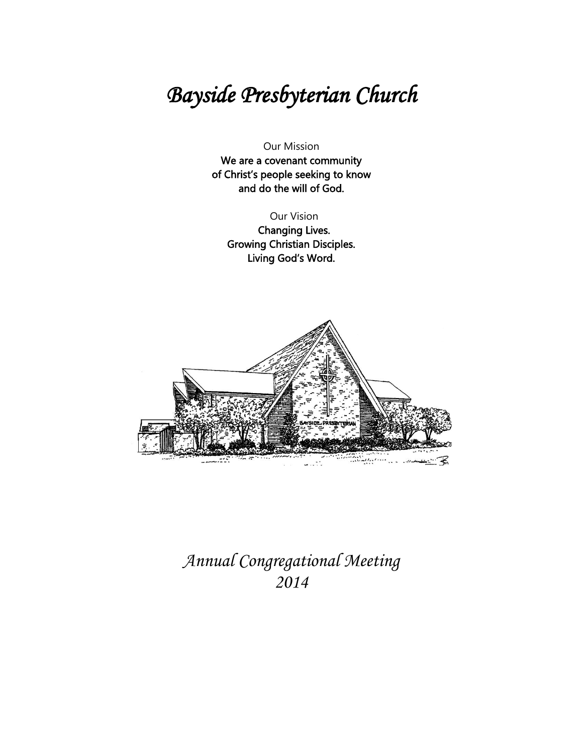# Bayside Presbyterian Church

Our Mission

We are a covenant community of Christ's people seeking to know and do the will of God.

Our Vision

 Changing Lives. Growing Christian Disciples. Living God's Word.



Annual Congregational Meeting 2014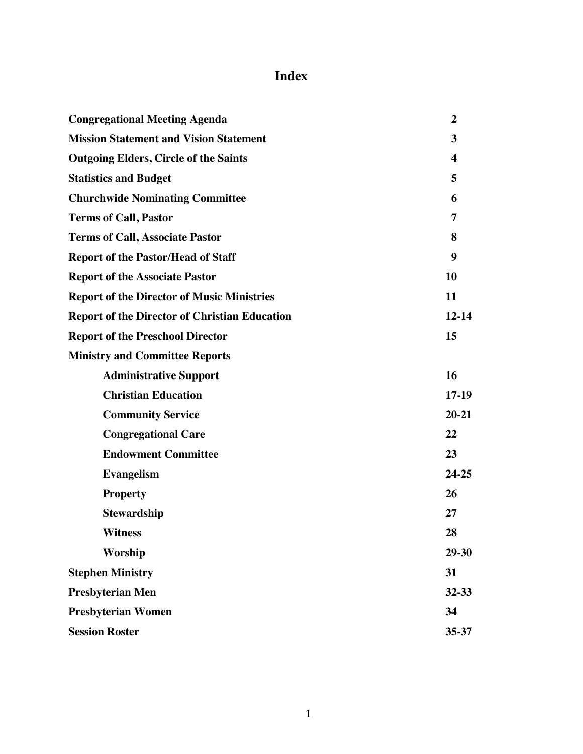# **Index**

| <b>Congregational Meeting Agenda</b>                 | $\overline{2}$          |
|------------------------------------------------------|-------------------------|
| <b>Mission Statement and Vision Statement</b>        | 3                       |
| <b>Outgoing Elders, Circle of the Saints</b>         | $\overline{\mathbf{4}}$ |
| <b>Statistics and Budget</b>                         | 5                       |
| <b>Churchwide Nominating Committee</b>               | 6                       |
| <b>Terms of Call, Pastor</b>                         | 7                       |
| <b>Terms of Call, Associate Pastor</b>               | 8                       |
| <b>Report of the Pastor/Head of Staff</b>            | 9                       |
| <b>Report of the Associate Pastor</b>                | 10                      |
| <b>Report of the Director of Music Ministries</b>    | 11                      |
| <b>Report of the Director of Christian Education</b> | $12 - 14$               |
| <b>Report of the Preschool Director</b>              | 15                      |
| <b>Ministry and Committee Reports</b>                |                         |
| <b>Administrative Support</b>                        | 16                      |
| <b>Christian Education</b>                           | $17-19$                 |
| <b>Community Service</b>                             | $20 - 21$               |
| <b>Congregational Care</b>                           | 22                      |
| <b>Endowment Committee</b>                           | 23                      |
| <b>Evangelism</b>                                    | $24 - 25$               |
| <b>Property</b>                                      | 26                      |
| <b>Stewardship</b>                                   | 27                      |
| <b>Witness</b>                                       | 28                      |
| Worship                                              | 29-30                   |
| <b>Stephen Ministry</b>                              | 31                      |
| <b>Presbyterian Men</b>                              | $32 - 33$               |
| <b>Presbyterian Women</b>                            | 34                      |
| <b>Session Roster</b>                                | $35 - 37$               |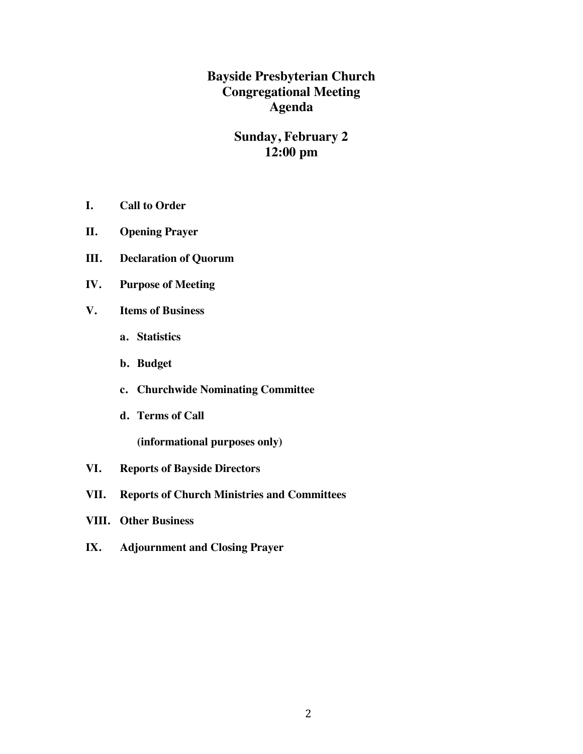**Bayside Presbyterian Church Congregational Meeting Agenda**

# **Sunday, February 2 12:00 pm**

- **I. Call to Order**
- **II. Opening Prayer**
- **III. Declaration of Quorum**
- **IV. Purpose of Meeting**
- **V. Items of Business**
	- **a. Statistics**
	- **b. Budget**
	- **c. Churchwide Nominating Committee**
	- **d. Terms of Call**

**(informational purposes only)**

- **VI. Reports of Bayside Directors**
- **VII. Reports of Church Ministries and Committees**
- **VIII. Other Business**
- **IX. Adjournment and Closing Prayer**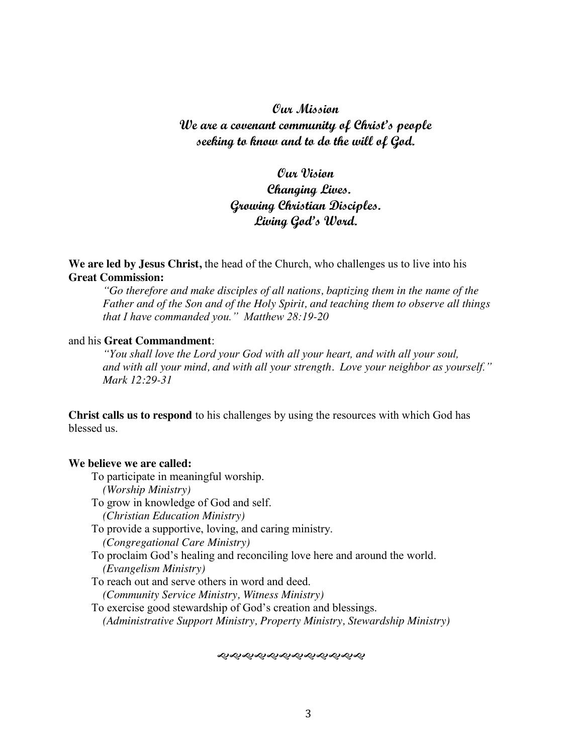#### **Our Mission**

**We are a covenant community of Christ's people seeking to know and to do the will of God.**

# **Our Vision Changing Lives. Growing Christian Disciples. Living God's Word.**

**We are led by Jesus Christ,** the head of the Church, who challenges us to live into his **Great Commission:**

*"Go therefore and make disciples of all nations, baptizing them in the name of the Father and of the Son and of the Holy Spirit, and teaching them to observe all things that I have commanded you." Matthew 28:19-20*

#### and his **Great Commandment**:

*"You shall love the Lord your God with all your heart, and with all your soul, and with all your mind, and with all your strength. Love your neighbor as yourself." Mark 12:29-31*

**Christ calls us to respond** to his challenges by using the resources with which God has blessed us.

#### **We believe we are called:**

- To participate in meaningful worship.
	- *(Worship Ministry)*
- To grow in knowledge of God and self.
	- *(Christian Education Ministry)*
- To provide a supportive, loving, and caring ministry.
	- *(Congregational Care Ministry)*
- To proclaim God's healing and reconciling love here and around the world. *(Evangelism Ministry)*
- To reach out and serve others in word and deed. *(Community Service Ministry, Witness Ministry)*

To exercise good stewardship of God's creation and blessings. *(Administrative Support Ministry, Property Ministry, Stewardship Ministry)*

જાજાજાજાજાજાજાજી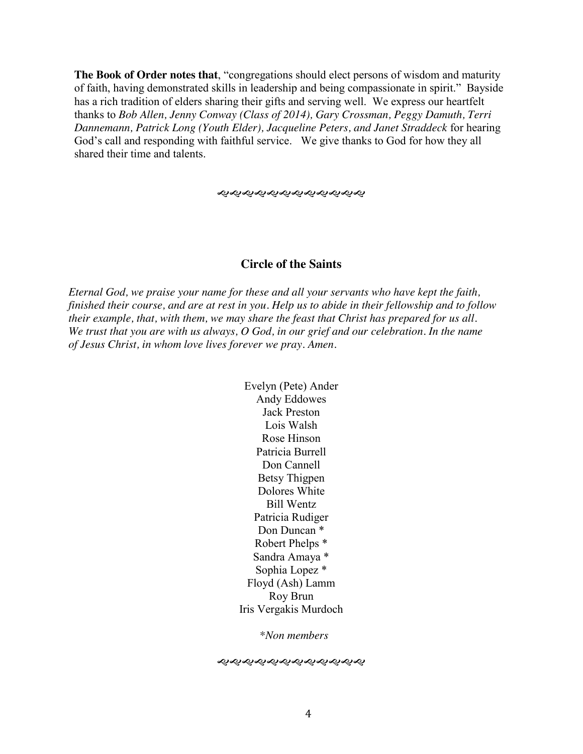**The Book of Order notes that**, "congregations should elect persons of wisdom and maturity of faith, having demonstrated skills in leadership and being compassionate in spirit." Bayside has a rich tradition of elders sharing their gifts and serving well. We express our heartfelt thanks to *Bob Allen, Jenny Conway (Class of 2014), Gary Crossman, Peggy Damuth, Terri Dannemann, Patrick Long (Youth Elder), Jacqueline Peters, and Janet Straddeck* for hearing God's call and responding with faithful service. We give thanks to God for how they all shared their time and talents.

જાજાજાજાજાજાજાજાજી

#### **Circle of the Saints**

*Eternal God, we praise your name for these and all your servants who have kept the faith, finished their course, and are at rest in you. Help us to abide in their fellowship and to follow their example, that, with them, we may share the feast that Christ has prepared for us all. We trust that you are with us always, O God, in our grief and our celebration. In the name of Jesus Christ, in whom love lives forever we pray. Amen.*

> Evelyn (Pete) Ander Andy Eddowes Jack Preston Lois Walsh Rose Hinson Patricia Burrell Don Cannell Betsy Thigpen Dolores White Bill Wentz Patricia Rudiger Don Duncan \* Robert Phelps \* Sandra Amaya \* Sophia Lopez \* Floyd (Ash) Lamm Roy Brun Iris Vergakis Murdoch

> > *\*Non members*

સ્વિએ સારી સારી સારી સારી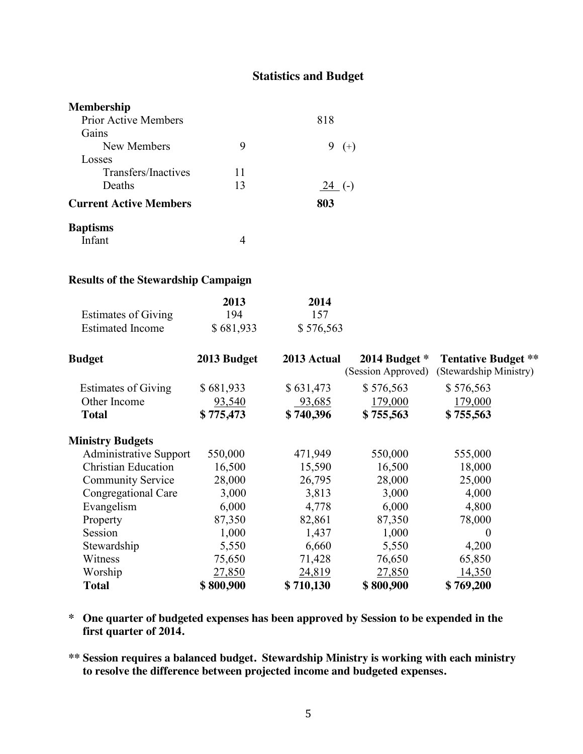# **Statistics and Budget**

| <b>Membership</b>             |    |             |
|-------------------------------|----|-------------|
| <b>Prior Active Members</b>   |    | 818         |
| Gains                         |    |             |
| New Members                   | 9  | 9.<br>$(+)$ |
| Losses                        |    |             |
| Transfers/Inactives           | 11 |             |
| Deaths                        | 13 | $24$ (-)    |
| <b>Current Active Members</b> |    | 803         |
| <b>Baptisms</b>               |    |             |
| Infant                        |    |             |

#### **Results of the Stewardship Campaign**

|                            | 2013      | 2014      |
|----------------------------|-----------|-----------|
| <b>Estimates of Giving</b> | 194       | -157      |
| <b>Estimated Income</b>    | \$681,933 | \$576,563 |

| <b>Budget</b>                 | 2013 Budget | 2013 Actual | 2014 Budget $*$<br>(Session Approved) | <b>Tentative Budget **</b><br>(Stewardship Ministry) |
|-------------------------------|-------------|-------------|---------------------------------------|------------------------------------------------------|
| <b>Estimates of Giving</b>    | \$681,933   | \$631,473   | \$576,563                             | \$576,563                                            |
| Other Income                  | 93,540      | 93,685      | 179,000                               | 179,000                                              |
| <b>Total</b>                  | \$775,473   | \$740,396   | \$755,563                             | \$755,563                                            |
| <b>Ministry Budgets</b>       |             |             |                                       |                                                      |
| <b>Administrative Support</b> | 550,000     | 471,949     | 550,000                               | 555,000                                              |
| <b>Christian Education</b>    | 16,500      | 15,590      | 16,500                                | 18,000                                               |
| <b>Community Service</b>      | 28,000      | 26,795      | 28,000                                | 25,000                                               |
| Congregational Care           | 3,000       | 3,813       | 3,000                                 | 4,000                                                |
| Evangelism                    | 6,000       | 4,778       | 6,000                                 | 4,800                                                |
| Property                      | 87,350      | 82,861      | 87,350                                | 78,000                                               |
| Session                       | 1,000       | 1,437       | 1,000                                 | $\theta$                                             |
| Stewardship                   | 5,550       | 6,660       | 5,550                                 | 4,200                                                |
| Witness                       | 75,650      | 71,428      | 76,650                                | 65,850                                               |
| Worship                       | 27,850      | 24,819      | 27,850                                | 14,350                                               |
| <b>Total</b>                  | \$800,900   | \$710,130   | \$800,900                             | \$769,200                                            |

- **\* One quarter of budgeted expenses has been approved by Session to be expended in the first quarter of 2014.**
- **\*\* Session requires a balanced budget. Stewardship Ministry is working with each ministry to resolve the difference between projected income and budgeted expenses.**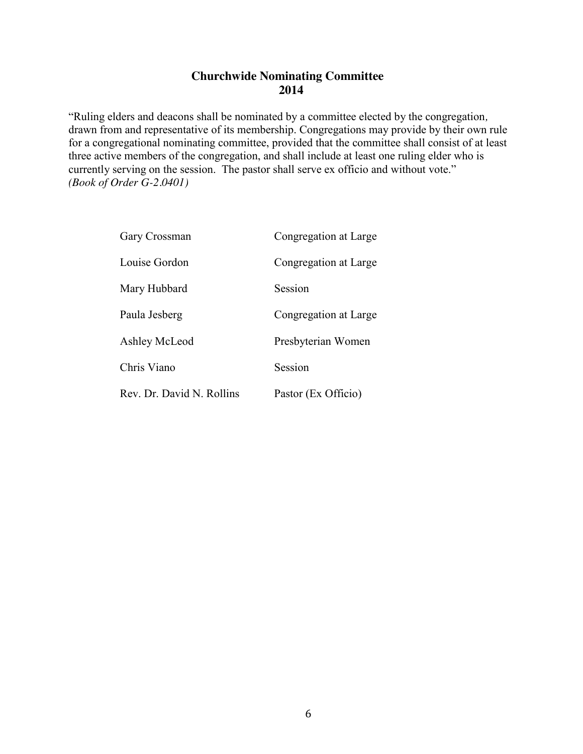### **Churchwide Nominating Committee 2014**

"Ruling elders and deacons shall be nominated by a committee elected by the congregation*,*  drawn from and representative of its membership. Congregations may provide by their own rule for a congregational nominating committee, provided that the committee shall consist of at least three active members of the congregation, and shall include at least one ruling elder who is currently serving on the session. The pastor shall serve ex officio and without vote." *(Book of Order G-2.0401)*

| Gary Crossman             | Congregation at Large |
|---------------------------|-----------------------|
| Louise Gordon             | Congregation at Large |
| Mary Hubbard              | Session               |
| Paula Jesberg             | Congregation at Large |
| Ashley McLeod             | Presbyterian Women    |
| Chris Viano               | Session               |
| Rev. Dr. David N. Rollins | Pastor (Ex Officio)   |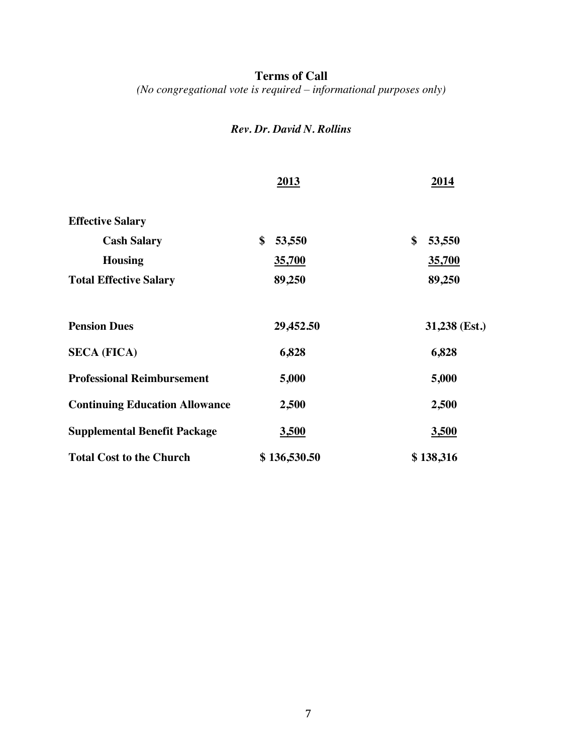#### **Terms of Call**

*(No congregational vote is required – informational purposes only)*

# *Rev. Dr. David N. Rollins*

|                                       | 2013         | 2014          |
|---------------------------------------|--------------|---------------|
| <b>Effective Salary</b>               |              |               |
| <b>Cash Salary</b>                    | \$<br>53,550 | \$<br>53,550  |
| <b>Housing</b>                        | 35,700       | 35,700        |
| <b>Total Effective Salary</b>         | 89,250       | 89,250        |
| <b>Pension Dues</b>                   | 29,452.50    | 31,238 (Est.) |
| <b>SECA (FICA)</b>                    | 6,828        | 6,828         |
| <b>Professional Reimbursement</b>     | 5,000        | 5,000         |
| <b>Continuing Education Allowance</b> | 2,500        | 2,500         |
| <b>Supplemental Benefit Package</b>   | 3,500        | <u>3,500</u>  |
| <b>Total Cost to the Church</b>       | \$136,530.50 | \$138,316     |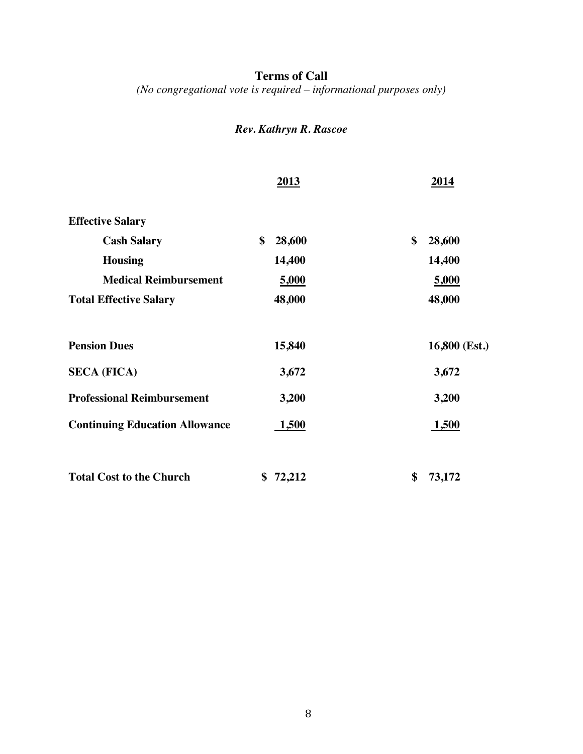# **Terms of Call**

*(No congregational vote is required – informational purposes only)*

# *Rev. Kathryn R. Rascoe*

|                                       | 2013         | 2014          |
|---------------------------------------|--------------|---------------|
| <b>Effective Salary</b>               |              |               |
| <b>Cash Salary</b>                    | \$<br>28,600 | \$<br>28,600  |
| <b>Housing</b>                        | 14,400       | 14,400        |
| <b>Medical Reimbursement</b>          | 5,000        | 5,000         |
| <b>Total Effective Salary</b>         | 48,000       | 48,000        |
| <b>Pension Dues</b>                   | 15,840       | 16,800 (Est.) |
| <b>SECA (FICA)</b>                    | 3,672        | 3,672         |
| <b>Professional Reimbursement</b>     | 3,200        | 3,200         |
| <b>Continuing Education Allowance</b> | <b>1,500</b> | <b>1,500</b>  |
| <b>Total Cost to the Church</b>       | \$72,212     | \$<br>73,172  |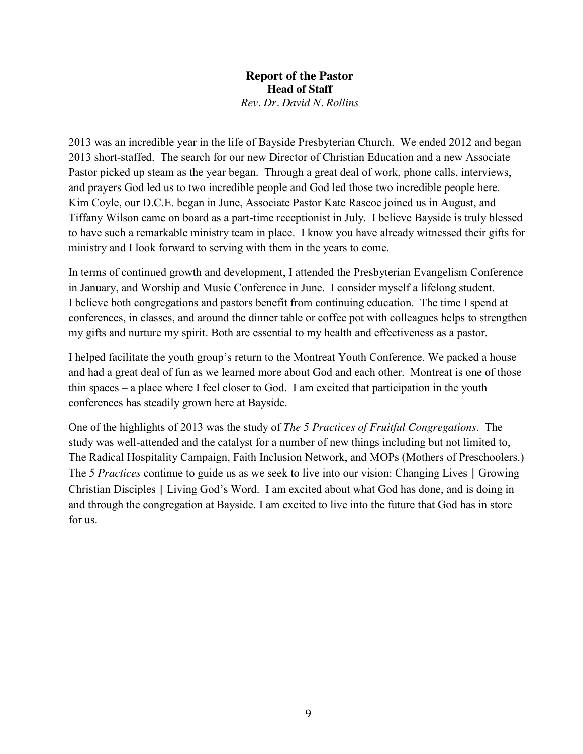**Report of the Pastor Head of Staff** *Rev. Dr. David N. Rollins*

2013 was an incredible year in the life of Bayside Presbyterian Church. We ended 2012 and began 2013 short-staffed. The search for our new Director of Christian Education and a new Associate Pastor picked up steam as the year began. Through a great deal of work, phone calls, interviews, and prayers God led us to two incredible people and God led those two incredible people here. Kim Coyle, our D.C.E. began in June, Associate Pastor Kate Rascoe joined us in August, and Tiffany Wilson came on board as a part-time receptionist in July. I believe Bayside is truly blessed to have such a remarkable ministry team in place. I know you have already witnessed their gifts for ministry and I look forward to serving with them in the years to come.

In terms of continued growth and development, I attended the Presbyterian Evangelism Conference in January, and Worship and Music Conference in June. I consider myself a lifelong student. I believe both congregations and pastors benefit from continuing education. The time I spend at conferences, in classes, and around the dinner table or coffee pot with colleagues helps to strengthen my gifts and nurture my spirit. Both are essential to my health and effectiveness as a pastor.

I helped facilitate the youth group's return to the Montreat Youth Conference. We packed a house and had a great deal of fun as we learned more about God and each other. Montreat is one of those thin spaces – a place where I feel closer to God. I am excited that participation in the youth conferences has steadily grown here at Bayside.

One of the highlights of 2013 was the study of *The 5 Practices of Fruitful Congregations*. The study was well-attended and the catalyst for a number of new things including but not limited to, The Radical Hospitality Campaign, Faith Inclusion Network, and MOPs (Mothers of Preschoolers.) The *5 Practices* continue to guide us as we seek to live into our vision: Changing Lives | Growing Christian Disciples | Living God's Word. I am excited about what God has done, and is doing in and through the congregation at Bayside. I am excited to live into the future that God has in store for us.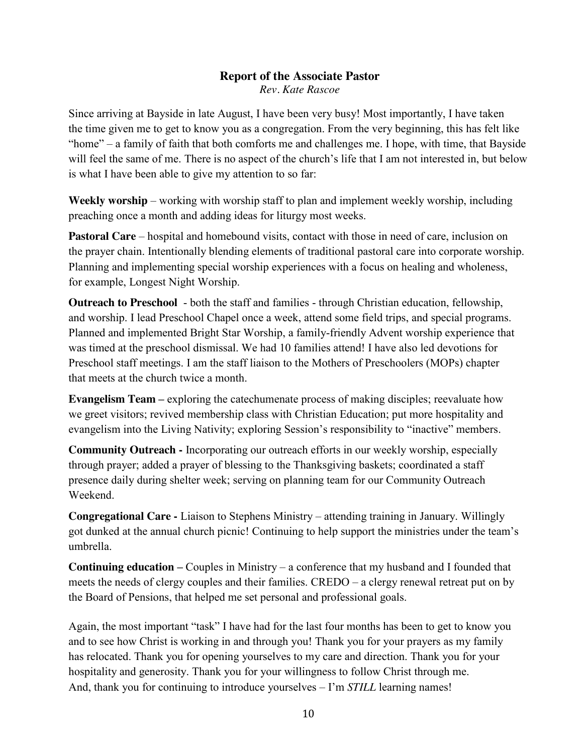#### **Report of the Associate Pastor** *Rev. Kate Rascoe*

Since arriving at Bayside in late August, I have been very busy! Most importantly, I have taken the time given me to get to know you as a congregation. From the very beginning, this has felt like "home" – a family of faith that both comforts me and challenges me. I hope, with time, that Bayside will feel the same of me. There is no aspect of the church's life that I am not interested in, but below is what I have been able to give my attention to so far:

**Weekly worship** – working with worship staff to plan and implement weekly worship, including preaching once a month and adding ideas for liturgy most weeks.

**Pastoral Care** – hospital and homebound visits, contact with those in need of care, inclusion on the prayer chain. Intentionally blending elements of traditional pastoral care into corporate worship. Planning and implementing special worship experiences with a focus on healing and wholeness, for example, Longest Night Worship.

**Outreach to Preschool** - both the staff and families - through Christian education, fellowship, and worship. I lead Preschool Chapel once a week, attend some field trips, and special programs. Planned and implemented Bright Star Worship, a family-friendly Advent worship experience that was timed at the preschool dismissal. We had 10 families attend! I have also led devotions for Preschool staff meetings. I am the staff liaison to the Mothers of Preschoolers (MOPs) chapter that meets at the church twice a month.

**Evangelism Team** – exploring the catechumenate process of making disciples; reevaluate how we greet visitors; revived membership class with Christian Education; put more hospitality and evangelism into the Living Nativity; exploring Session's responsibility to "inactive" members.

**Community Outreach -** Incorporating our outreach efforts in our weekly worship, especially through prayer; added a prayer of blessing to the Thanksgiving baskets; coordinated a staff presence daily during shelter week; serving on planning team for our Community Outreach Weekend.

**Congregational Care -** Liaison to Stephens Ministry – attending training in January. Willingly got dunked at the annual church picnic! Continuing to help support the ministries under the team's umbrella.

**Continuing education –** Couples in Ministry – a conference that my husband and I founded that meets the needs of clergy couples and their families. CREDO – a clergy renewal retreat put on by the Board of Pensions, that helped me set personal and professional goals.

Again, the most important "task" I have had for the last four months has been to get to know you and to see how Christ is working in and through you! Thank you for your prayers as my family has relocated. Thank you for opening yourselves to my care and direction. Thank you for your hospitality and generosity. Thank you for your willingness to follow Christ through me. And, thank you for continuing to introduce yourselves – I'm *STILL* learning names!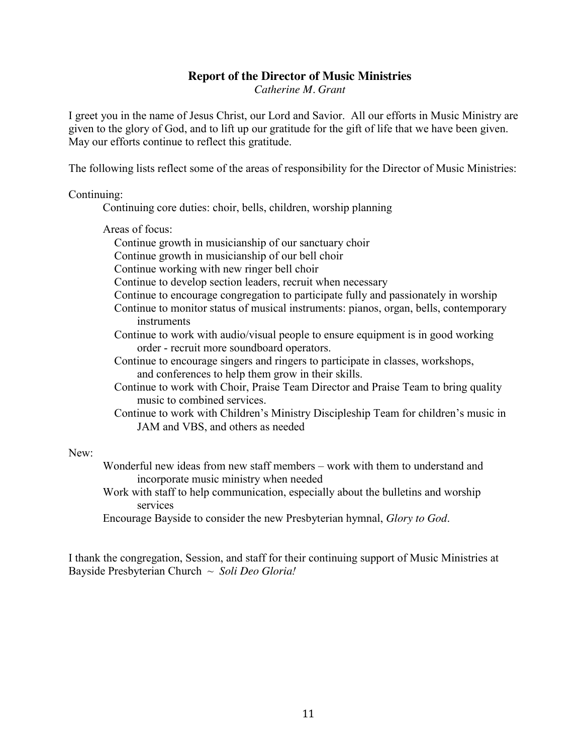#### **Report of the Director of Music Ministries**

*Catherine M. Grant*

I greet you in the name of Jesus Christ, our Lord and Savior. All our efforts in Music Ministry are given to the glory of God, and to lift up our gratitude for the gift of life that we have been given. May our efforts continue to reflect this gratitude.

The following lists reflect some of the areas of responsibility for the Director of Music Ministries:

#### Continuing:

Continuing core duties: choir, bells, children, worship planning

Areas of focus:

Continue growth in musicianship of our sanctuary choir

Continue growth in musicianship of our bell choir

Continue working with new ringer bell choir

Continue to develop section leaders, recruit when necessary

Continue to encourage congregation to participate fully and passionately in worship

- Continue to monitor status of musical instruments: pianos, organ, bells, contemporary instruments
- Continue to work with audio/visual people to ensure equipment is in good working order - recruit more soundboard operators.
- Continue to encourage singers and ringers to participate in classes, workshops, and conferences to help them grow in their skills.
- Continue to work with Choir, Praise Team Director and Praise Team to bring quality music to combined services.
- Continue to work with Children's Ministry Discipleship Team for children's music in JAM and VBS, and others as needed

#### New:

- Wonderful new ideas from new staff members work with them to understand and incorporate music ministry when needed
- Work with staff to help communication, especially about the bulletins and worship services

Encourage Bayside to consider the new Presbyterian hymnal, *Glory to God*.

I thank the congregation, Session, and staff for their continuing support of Music Ministries at Bayside Presbyterian Church ~ *Soli Deo Gloria!*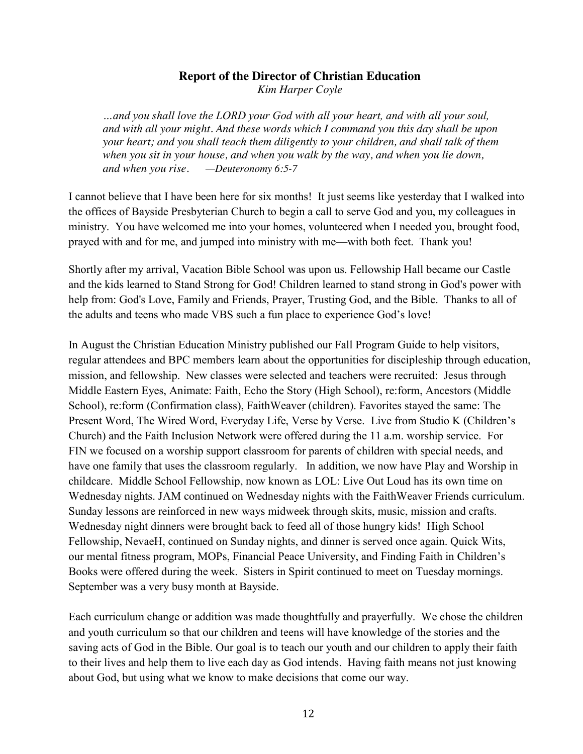# **Report of the Director of Christian Education**

*Kim Harper Coyle*

*…and you shall love the LORD your God with all your heart, and with all your soul, and with all your might. And these words which I command you this day shall be upon your heart; and you shall teach them diligently to your children, and shall talk of them when you sit in your house, and when you walk by the way, and when you lie down, and when you rise. —Deuteronomy 6:5-7*

I cannot believe that I have been here for six months! It just seems like yesterday that I walked into the offices of Bayside Presbyterian Church to begin a call to serve God and you, my colleagues in ministry. You have welcomed me into your homes, volunteered when I needed you, brought food, prayed with and for me, and jumped into ministry with me—with both feet. Thank you!

Shortly after my arrival, Vacation Bible School was upon us. Fellowship Hall became our Castle and the kids learned to Stand Strong for God! Children learned to stand strong in God's power with help from: God's Love, Family and Friends, Prayer, Trusting God, and the Bible. Thanks to all of the adults and teens who made VBS such a fun place to experience God's love!

In August the Christian Education Ministry published our Fall Program Guide to help visitors, regular attendees and BPC members learn about the opportunities for discipleship through education, mission, and fellowship. New classes were selected and teachers were recruited: Jesus through Middle Eastern Eyes, Animate: Faith, Echo the Story (High School), re:form, Ancestors (Middle School), re:form (Confirmation class), FaithWeaver (children). Favorites stayed the same: The Present Word, The Wired Word, Everyday Life, Verse by Verse. Live from Studio K (Children's Church) and the Faith Inclusion Network were offered during the 11 a.m. worship service. For FIN we focused on a worship support classroom for parents of children with special needs, and have one family that uses the classroom regularly. In addition, we now have Play and Worship in childcare. Middle School Fellowship, now known as LOL: Live Out Loud has its own time on Wednesday nights. JAM continued on Wednesday nights with the FaithWeaver Friends curriculum. Sunday lessons are reinforced in new ways midweek through skits, music, mission and crafts. Wednesday night dinners were brought back to feed all of those hungry kids! High School Fellowship, NevaeH, continued on Sunday nights, and dinner is served once again. Quick Wits, our mental fitness program, MOPs, Financial Peace University, and Finding Faith in Children's Books were offered during the week. Sisters in Spirit continued to meet on Tuesday mornings. September was a very busy month at Bayside.

Each curriculum change or addition was made thoughtfully and prayerfully. We chose the children and youth curriculum so that our children and teens will have knowledge of the stories and the saving acts of God in the Bible. Our goal is to teach our youth and our children to apply their faith to their lives and help them to live each day as God intends. Having faith means not just knowing about God, but using what we know to make decisions that come our way.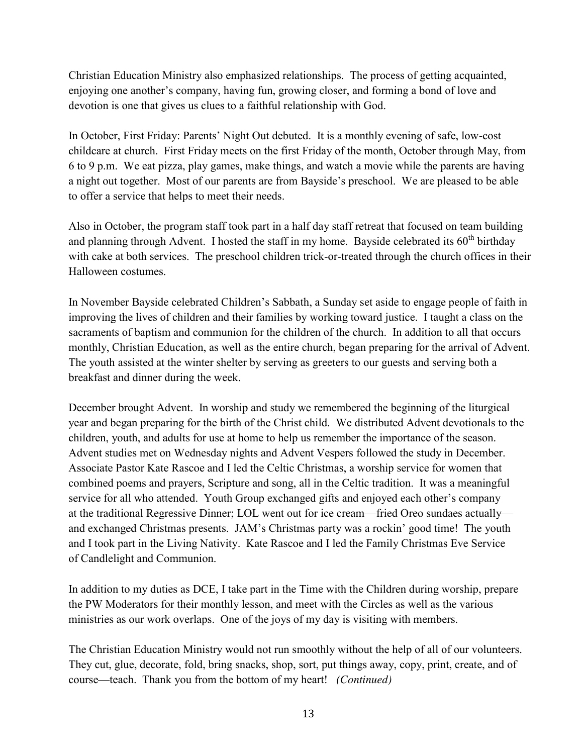Christian Education Ministry also emphasized relationships. The process of getting acquainted, enjoying one another's company, having fun, growing closer, and forming a bond of love and devotion is one that gives us clues to a faithful relationship with God.

In October, First Friday: Parents' Night Out debuted. It is a monthly evening of safe, low-cost childcare at church. First Friday meets on the first Friday of the month, October through May, from 6 to 9 p.m. We eat pizza, play games, make things, and watch a movie while the parents are having a night out together. Most of our parents are from Bayside's preschool. We are pleased to be able to offer a service that helps to meet their needs.

Also in October, the program staff took part in a half day staff retreat that focused on team building and planning through Advent. I hosted the staff in my home. Bayside celebrated its  $60<sup>th</sup>$  birthday with cake at both services. The preschool children trick-or-treated through the church offices in their Halloween costumes.

In November Bayside celebrated Children's Sabbath, a Sunday set aside to engage people of faith in improving the lives of children and their families by working toward justice. I taught a class on the sacraments of baptism and communion for the children of the church. In addition to all that occurs monthly, Christian Education, as well as the entire church, began preparing for the arrival of Advent. The youth assisted at the winter shelter by serving as greeters to our guests and serving both a breakfast and dinner during the week.

December brought Advent. In worship and study we remembered the beginning of the liturgical year and began preparing for the birth of the Christ child. We distributed Advent devotionals to the children, youth, and adults for use at home to help us remember the importance of the season. Advent studies met on Wednesday nights and Advent Vespers followed the study in December. Associate Pastor Kate Rascoe and I led the Celtic Christmas, a worship service for women that combined poems and prayers, Scripture and song, all in the Celtic tradition. It was a meaningful service for all who attended. Youth Group exchanged gifts and enjoyed each other's company at the traditional Regressive Dinner; LOL went out for ice cream—fried Oreo sundaes actually and exchanged Christmas presents. JAM's Christmas party was a rockin' good time! The youth and I took part in the Living Nativity. Kate Rascoe and I led the Family Christmas Eve Service of Candlelight and Communion.

In addition to my duties as DCE, I take part in the Time with the Children during worship, prepare the PW Moderators for their monthly lesson, and meet with the Circles as well as the various ministries as our work overlaps. One of the joys of my day is visiting with members.

The Christian Education Ministry would not run smoothly without the help of all of our volunteers. They cut, glue, decorate, fold, bring snacks, shop, sort, put things away, copy, print, create, and of course—teach. Thank you from the bottom of my heart! *(Continued)*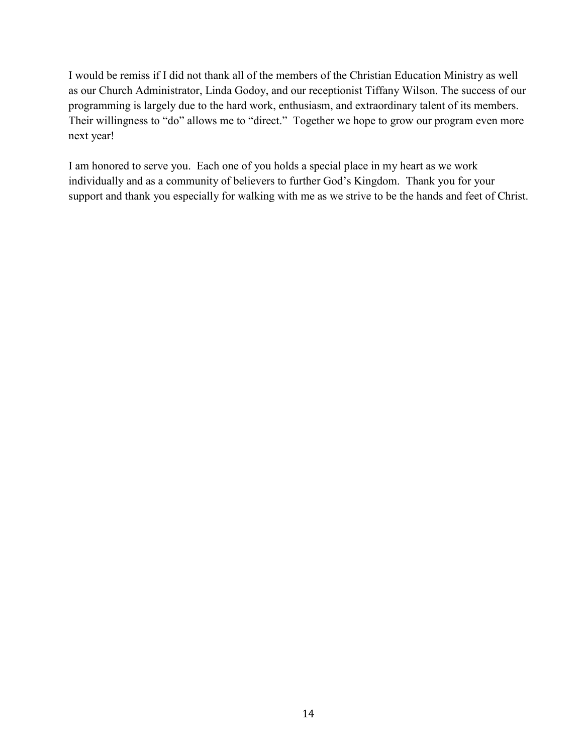I would be remiss if I did not thank all of the members of the Christian Education Ministry as well as our Church Administrator, Linda Godoy, and our receptionist Tiffany Wilson. The success of our programming is largely due to the hard work, enthusiasm, and extraordinary talent of its members. Their willingness to "do" allows me to "direct." Together we hope to grow our program even more next year!

I am honored to serve you. Each one of you holds a special place in my heart as we work individually and as a community of believers to further God's Kingdom. Thank you for your support and thank you especially for walking with me as we strive to be the hands and feet of Christ.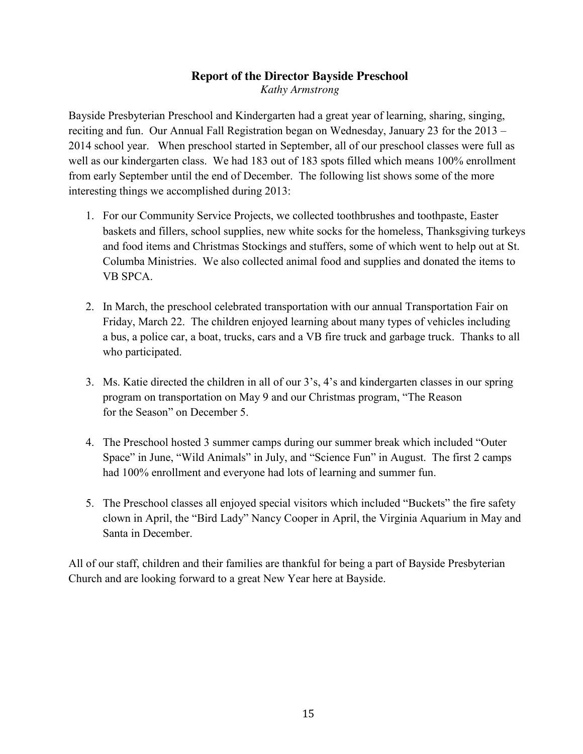## **Report of the Director Bayside Preschool** *Kathy Armstrong*

Bayside Presbyterian Preschool and Kindergarten had a great year of learning, sharing, singing, reciting and fun. Our Annual Fall Registration began on Wednesday, January 23 for the 2013 – 2014 school year. When preschool started in September, all of our preschool classes were full as well as our kindergarten class. We had 183 out of 183 spots filled which means 100% enrollment from early September until the end of December. The following list shows some of the more interesting things we accomplished during 2013:

- 1. For our Community Service Projects, we collected toothbrushes and toothpaste, Easter baskets and fillers, school supplies, new white socks for the homeless, Thanksgiving turkeys and food items and Christmas Stockings and stuffers, some of which went to help out at St. Columba Ministries. We also collected animal food and supplies and donated the items to VB SPCA.
- 2. In March, the preschool celebrated transportation with our annual Transportation Fair on Friday, March 22. The children enjoyed learning about many types of vehicles including a bus, a police car, a boat, trucks, cars and a VB fire truck and garbage truck. Thanks to all who participated.
- 3. Ms. Katie directed the children in all of our 3's, 4's and kindergarten classes in our spring program on transportation on May 9 and our Christmas program, "The Reason for the Season" on December 5.
- 4. The Preschool hosted 3 summer camps during our summer break which included "Outer Space" in June, "Wild Animals" in July, and "Science Fun" in August. The first 2 camps had 100% enrollment and everyone had lots of learning and summer fun.
- 5. The Preschool classes all enjoyed special visitors which included "Buckets" the fire safety clown in April, the "Bird Lady" Nancy Cooper in April, the Virginia Aquarium in May and Santa in December.

All of our staff, children and their families are thankful for being a part of Bayside Presbyterian Church and are looking forward to a great New Year here at Bayside.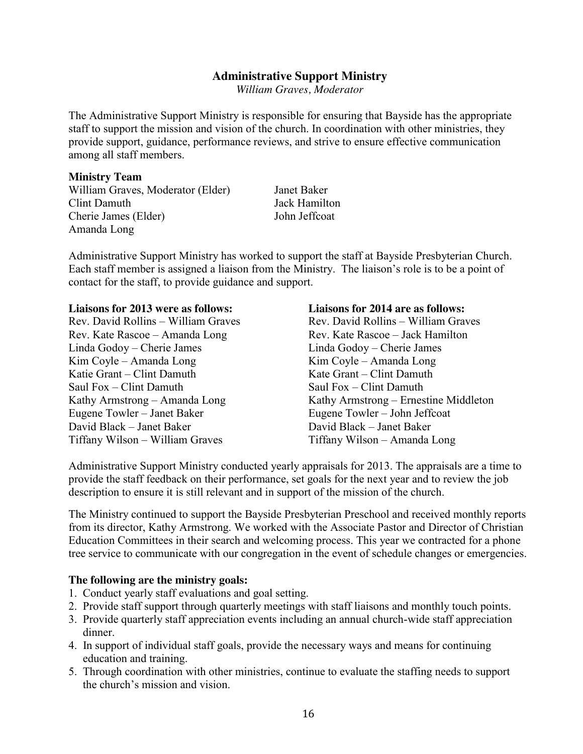### **Administrative Support Ministry**

*William Graves, Moderator*

The Administrative Support Ministry is responsible for ensuring that Bayside has the appropriate staff to support the mission and vision of the church. In coordination with other ministries, they provide support, guidance, performance reviews, and strive to ensure effective communication among all staff members.

#### **Ministry Team**

William Graves, Moderator (Elder) Janet Baker Clint Damuth Jack Hamilton Cherie James (Elder) John Jeffcoat Amanda Long

Administrative Support Ministry has worked to support the staff at Bayside Presbyterian Church. Each staff member is assigned a liaison from the Ministry. The liaison's role is to be a point of contact for the staff, to provide guidance and support.

Rev. David Rollins – William Graves Rev. Kate Rascoe – Amanda Long Rev. Kate Rascoe – Jack Hamilton Linda Godoy – Cherie James Linda Godoy – Cherie James Kim Coyle – Amanda Long Kim Coyle – Amanda Long Katie Grant – Clint Damuth Kate Grant – Clint Damuth Saul Fox – Clint Damuth Saul Fox – Clint Damuth Eugene Towler – Janet Baker Eugene Towler – John Jeffcoat David Black – Janet Baker David Black – Janet Baker Tiffany Wilson – William Graves Tiffany Wilson – Amanda Long

**Liaisons for 2013 were as follows: Liaisons for 2014 are as follows:** Kathy Armstrong – Amanda Long Kathy Armstrong – Ernestine Middleton

Administrative Support Ministry conducted yearly appraisals for 2013. The appraisals are a time to provide the staff feedback on their performance, set goals for the next year and to review the job description to ensure it is still relevant and in support of the mission of the church.

The Ministry continued to support the Bayside Presbyterian Preschool and received monthly reports from its director, Kathy Armstrong. We worked with the Associate Pastor and Director of Christian Education Committees in their search and welcoming process. This year we contracted for a phone tree service to communicate with our congregation in the event of schedule changes or emergencies.

#### **The following are the ministry goals:**

- 1. Conduct yearly staff evaluations and goal setting.
- 2. Provide staff support through quarterly meetings with staff liaisons and monthly touch points.
- 3. Provide quarterly staff appreciation events including an annual church-wide staff appreciation dinner.
- 4. In support of individual staff goals, provide the necessary ways and means for continuing education and training.
- 5. Through coordination with other ministries, continue to evaluate the staffing needs to support the church's mission and vision.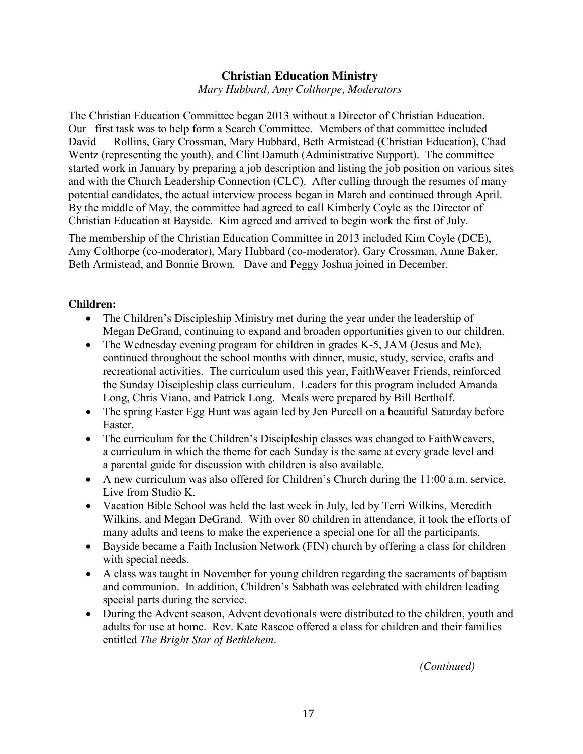# **Christian Education Ministry**

*Mary Hubbard, Amy Colthorpe, Moderators*

The Christian Education Committee began 2013 without a Director of Christian Education. Our first task was to help form a Search Committee. Members of that committee included David Rollins, Gary Crossman, Mary Hubbard, Beth Armistead (Christian Education), Chad Wentz (representing the youth), and Clint Damuth (Administrative Support). The committee started work in January by preparing a job description and listing the job position on various sites and with the Church Leadership Connection (CLC). After culling through the resumes of many potential candidates, the actual interview process began in March and continued through April. By the middle of May, the committee had agreed to call Kimberly Coyle as the Director of Christian Education at Bayside. Kim agreed and arrived to begin work the first of July.

The membership of the Christian Education Committee in 2013 included Kim Coyle (DCE), Amy Colthorpe (co-moderator), Mary Hubbard (co-moderator), Gary Crossman, Anne Baker, Beth Armistead, and Bonnie Brown. Dave and Peggy Joshua joined in December.

### **Children:**

- The Children's Discipleship Ministry met during the year under the leadership of Megan DeGrand, continuing to expand and broaden opportunities given to our children.
- The Wednesday evening program for children in grades K-5, JAM (Jesus and Me), continued throughout the school months with dinner, music, study, service, crafts and recreational activities. The curriculum used this year, FaithWeaver Friends, reinforced the Sunday Discipleship class curriculum. Leaders for this program included Amanda Long, Chris Viano, and Patrick Long. Meals were prepared by Bill Bertholf.
- The spring Easter Egg Hunt was again led by Jen Purcell on a beautiful Saturday before Easter.
- The curriculum for the Children's Discipleship classes was changed to FaithWeavers, a curriculum in which the theme for each Sunday is the same at every grade level and a parental guide for discussion with children is also available.
- A new curriculum was also offered for Children's Church during the  $11:00$  a.m. service, Live from Studio K.
- Vacation Bible School was held the last week in July, led by Terri Wilkins, Meredith Wilkins, and Megan DeGrand. With over 80 children in attendance, it took the efforts of many adults and teens to make the experience a special one for all the participants.
- Bayside became a Faith Inclusion Network (FIN) church by offering a class for children with special needs.
- A class was taught in November for young children regarding the sacraments of baptism and communion. In addition, Children's Sabbath was celebrated with children leading special parts during the service.
- During the Advent season, Advent devotionals were distributed to the children, youth and adults for use at home. Rev. Kate Rascoe offered a class for children and their families entitled *The Bright Star of Bethlehem*.

 *(Continued)*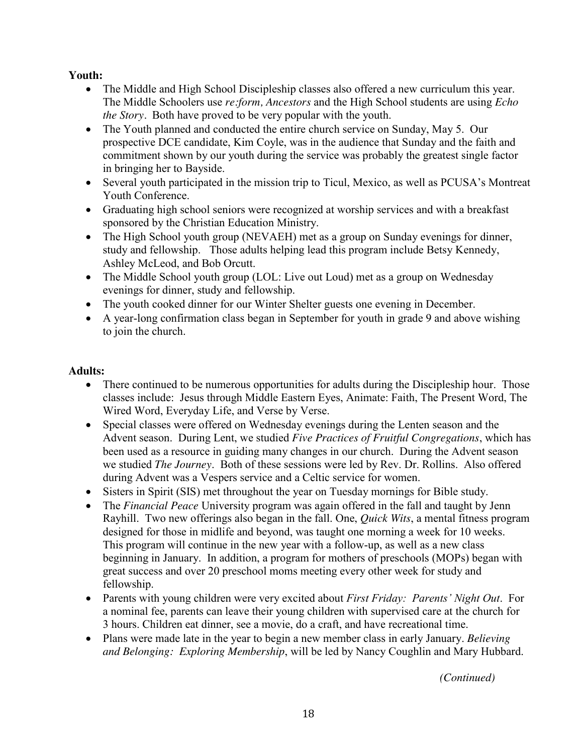## **Youth:**

- The Middle and High School Discipleship classes also offered a new curriculum this year. The Middle Schoolers use *re:form, Ancestors* and the High School students are using *Echo the Story.* Both have proved to be very popular with the youth.
- The Youth planned and conducted the entire church service on Sunday, May 5. Our prospective DCE candidate, Kim Coyle, was in the audience that Sunday and the faith and commitment shown by our youth during the service was probably the greatest single factor in bringing her to Bayside.
- Several youth participated in the mission trip to Ticul, Mexico, as well as PCUSA's Montreat Youth Conference.
- Graduating high school seniors were recognized at worship services and with a breakfast sponsored by the Christian Education Ministry.
- The High School youth group (NEVAEH) met as a group on Sunday evenings for dinner, study and fellowship. Those adults helping lead this program include Betsy Kennedy, Ashley McLeod, and Bob Orcutt.
- The Middle School youth group (LOL: Live out Loud) met as a group on Wednesday evenings for dinner, study and fellowship.
- The youth cooked dinner for our Winter Shelter guests one evening in December.
- A year-long confirmation class began in September for youth in grade 9 and above wishing to join the church.

## **Adults:**

- There continued to be numerous opportunities for adults during the Discipleship hour. Those classes include: Jesus through Middle Eastern Eyes, Animate: Faith, The Present Word, The Wired Word, Everyday Life, and Verse by Verse.
- Special classes were offered on Wednesday evenings during the Lenten season and the Advent season. During Lent, we studied *Five Practices of Fruitful Congregations*, which has been used as a resource in guiding many changes in our church. During the Advent season we studied *The Journey*. Both of these sessions were led by Rev. Dr. Rollins. Also offered during Advent was a Vespers service and a Celtic service for women.
- Sisters in Spirit (SIS) met throughout the year on Tuesday mornings for Bible study.
- The *Financial Peace* University program was again offered in the fall and taught by Jenn Rayhill. Two new offerings also began in the fall. One, *Quick Wits*, a mental fitness program designed for those in midlife and beyond, was taught one morning a week for 10 weeks. This program will continue in the new year with a follow-up, as well as a new class beginning in January. In addition, a program for mothers of preschools (MOPs) began with great success and over 20 preschool moms meeting every other week for study and fellowship.
- Parents with young children were very excited about *First Friday: Parents' Night Out.* For a nominal fee, parents can leave their young children with supervised care at the church for 3 hours. Children eat dinner, see a movie, do a craft, and have recreational time.
- Plans were made late in the year to begin a new member class in early January. *Believing and Belonging: Exploring Membership*, will be led by Nancy Coughlin and Mary Hubbard.

 *(Continued)*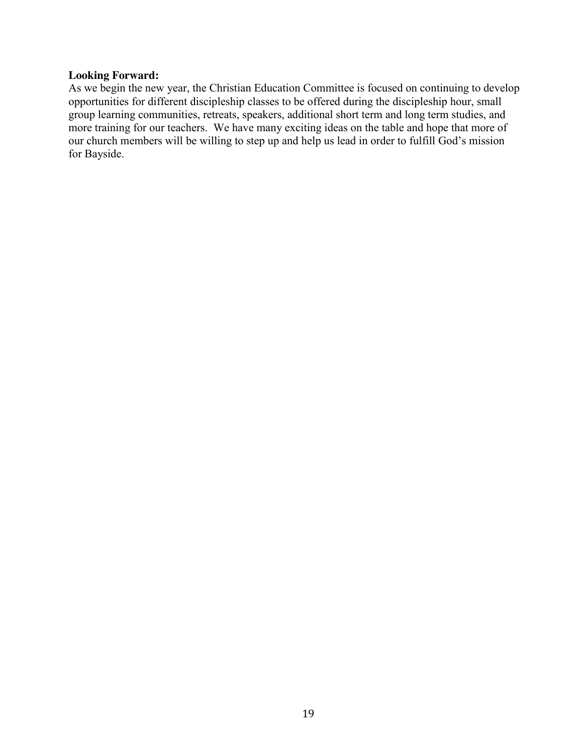#### **Looking Forward:**

As we begin the new year, the Christian Education Committee is focused on continuing to develop opportunities for different discipleship classes to be offered during the discipleship hour, small group learning communities, retreats, speakers, additional short term and long term studies, and more training for our teachers. We have many exciting ideas on the table and hope that more of our church members will be willing to step up and help us lead in order to fulfill God's mission for Bayside.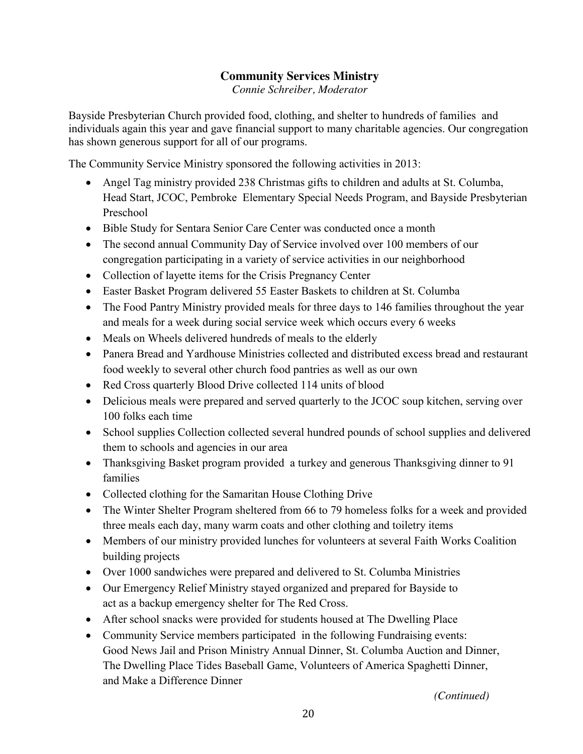# **Community Services Ministry**

*Connie Schreiber, Moderator*

Bayside Presbyterian Church provided food, clothing, and shelter to hundreds of families and individuals again this year and gave financial support to many charitable agencies. Our congregation has shown generous support for all of our programs.

The Community Service Ministry sponsored the following activities in 2013:

- Angel Tag ministry provided 238 Christmas gifts to children and adults at St. Columba, Head Start, JCOC, Pembroke Elementary Special Needs Program, and Bayside Presbyterian Preschool
- Bible Study for Sentara Senior Care Center was conducted once a month
- The second annual Community Day of Service involved over 100 members of our congregation participating in a variety of service activities in our neighborhood
- Collection of layette items for the Crisis Pregnancy Center
- Easter Basket Program delivered 55 Easter Baskets to children at St. Columba
- The Food Pantry Ministry provided meals for three days to 146 families throughout the year and meals for a week during social service week which occurs every 6 weeks
- Meals on Wheels delivered hundreds of meals to the elderly
- Panera Bread and Yardhouse Ministries collected and distributed excess bread and restaurant food weekly to several other church food pantries as well as our own
- Red Cross quarterly Blood Drive collected 114 units of blood
- Delicious meals were prepared and served quarterly to the JCOC soup kitchen, serving over 100 folks each time
- School supplies Collection collected several hundred pounds of school supplies and delivered them to schools and agencies in our area
- Thanksgiving Basket program provided a turkey and generous Thanksgiving dinner to 91 families
- Collected clothing for the Samaritan House Clothing Drive
- The Winter Shelter Program sheltered from 66 to 79 homeless folks for a week and provided three meals each day, many warm coats and other clothing and toiletry items
- Members of our ministry provided lunches for volunteers at several Faith Works Coalition building projects
- Over 1000 sandwiches were prepared and delivered to St. Columba Ministries
- Our Emergency Relief Ministry stayed organized and prepared for Bayside to act as a backup emergency shelter for The Red Cross.
- After school snacks were provided for students housed at The Dwelling Place
- Community Service members participated in the following Fundraising events: Good News Jail and Prison Ministry Annual Dinner, St. Columba Auction and Dinner, The Dwelling Place Tides Baseball Game, Volunteers of America Spaghetti Dinner, and Make a Difference Dinner

 *(Continued)*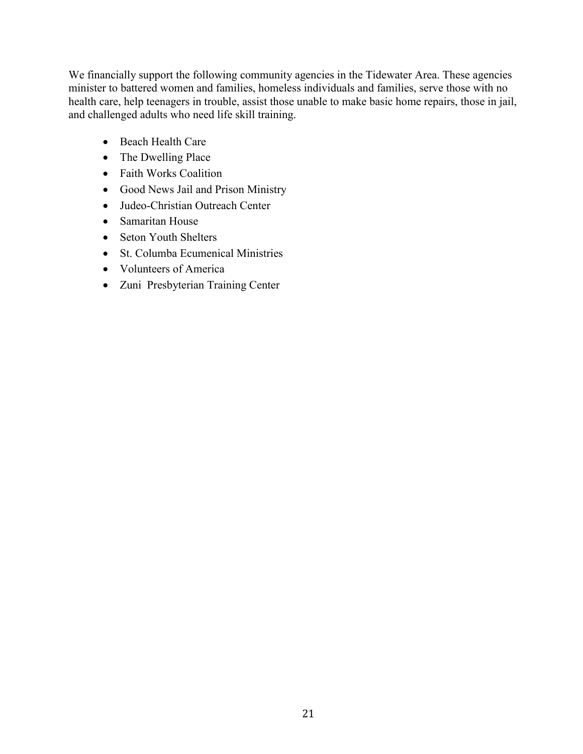We financially support the following community agencies in the Tidewater Area. These agencies minister to battered women and families, homeless individuals and families, serve those with no health care, help teenagers in trouble, assist those unable to make basic home repairs, those in jail, and challenged adults who need life skill training.

- Beach Health Care
- $\bullet$  The Dwelling Place
- Faith Works Coalition
- Good News Jail and Prison Ministry
- Judeo-Christian Outreach Center
- Samaritan House
- Seton Youth Shelters
- St. Columba Ecumenical Ministries
- Volunteers of America
- Zuni Presbyterian Training Center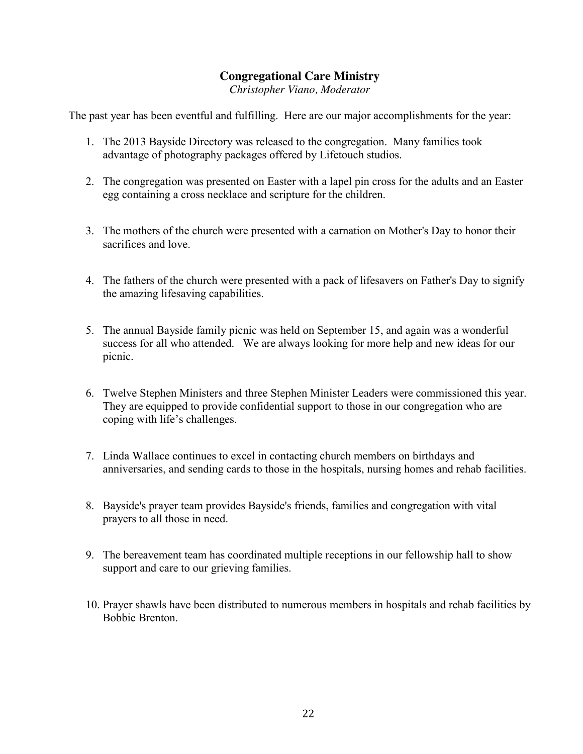# **Congregational Care Ministry**

*Christopher Viano, Moderator*

The past year has been eventful and fulfilling. Here are our major accomplishments for the year:

- 1. The 2013 Bayside Directory was released to the congregation. Many families took advantage of photography packages offered by Lifetouch studios.
- 2. The congregation was presented on Easter with a lapel pin cross for the adults and an Easter egg containing a cross necklace and scripture for the children.
- 3. The mothers of the church were presented with a carnation on Mother's Day to honor their sacrifices and love.
- 4. The fathers of the church were presented with a pack of lifesavers on Father's Day to signify the amazing lifesaving capabilities.
- 5. The annual Bayside family picnic was held on September 15, and again was a wonderful success for all who attended. We are always looking for more help and new ideas for our picnic.
- 6. Twelve Stephen Ministers and three Stephen Minister Leaders were commissioned this year. They are equipped to provide confidential support to those in our congregation who are coping with life's challenges.
- 7. Linda Wallace continues to excel in contacting church members on birthdays and anniversaries, and sending cards to those in the hospitals, nursing homes and rehab facilities.
- 8. Bayside's prayer team provides Bayside's friends, families and congregation with vital prayers to all those in need.
- 9. The bereavement team has coordinated multiple receptions in our fellowship hall to show support and care to our grieving families.
- 10. Prayer shawls have been distributed to numerous members in hospitals and rehab facilities by Bobbie Brenton.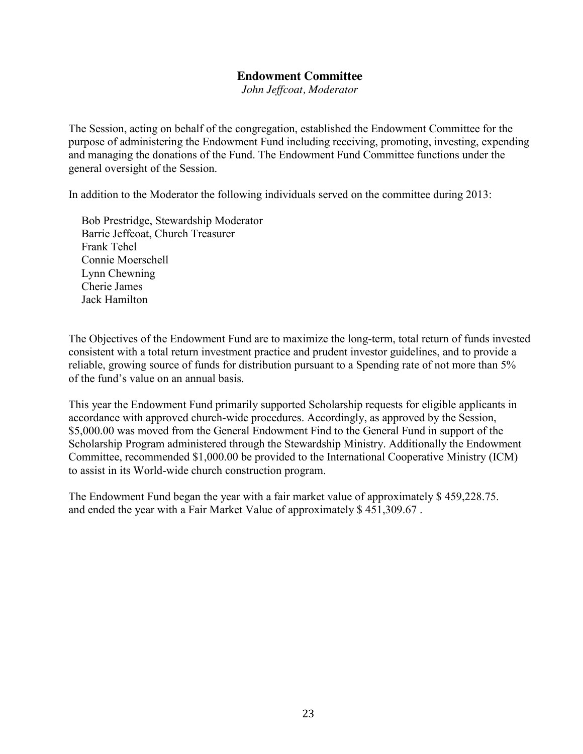#### **Endowment Committee**

*John Jeffcoat, Moderator*

The Session, acting on behalf of the congregation, established the Endowment Committee for the purpose of administering the Endowment Fund including receiving, promoting, investing, expending and managing the donations of the Fund. The Endowment Fund Committee functions under the general oversight of the Session.

In addition to the Moderator the following individuals served on the committee during 2013:

Bob Prestridge, Stewardship Moderator Barrie Jeffcoat, Church Treasurer Frank Tehel Connie Moerschell Lynn Chewning Cherie James Jack Hamilton

The Objectives of the Endowment Fund are to maximize the long-term, total return of funds invested consistent with a total return investment practice and prudent investor guidelines, and to provide a reliable, growing source of funds for distribution pursuant to a Spending rate of not more than 5% of the fund's value on an annual basis.

This year the Endowment Fund primarily supported Scholarship requests for eligible applicants in accordance with approved church-wide procedures. Accordingly, as approved by the Session, \$5,000.00 was moved from the General Endowment Find to the General Fund in support of the Scholarship Program administered through the Stewardship Ministry. Additionally the Endowment Committee, recommended \$1,000.00 be provided to the International Cooperative Ministry (ICM) to assist in its World-wide church construction program.

The Endowment Fund began the year with a fair market value of approximately \$ 459,228.75. and ended the year with a Fair Market Value of approximately \$ 451,309.67 .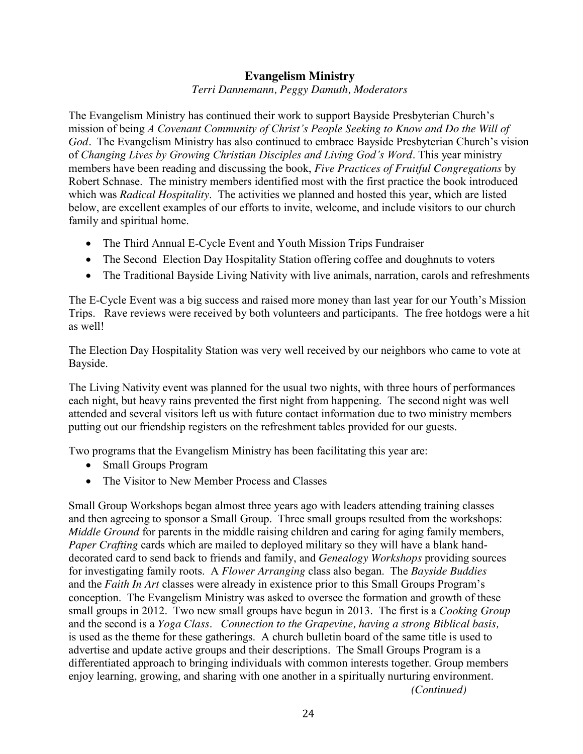## **Evangelism Ministry**

*Terri Dannemann, Peggy Damuth, Moderators*

The Evangelism Ministry has continued their work to support Bayside Presbyterian Church's mission of being *A Covenant Community of Christ's People Seeking to Know and Do the Will of God.* The Evangelism Ministry has also continued to embrace Bayside Presbyterian Church's vision of *Changing Lives by Growing Christian Disciples and Living God's Word*. This year ministry members have been reading and discussing the book, *Five Practices of Fruitful Congregations* by Robert Schnase. The ministry members identified most with the first practice the book introduced which was *Radical Hospitality*. The activities we planned and hosted this year, which are listed below, are excellent examples of our efforts to invite, welcome, and include visitors to our church family and spiritual home.

- The Third Annual E-Cycle Event and Youth Mission Trips Fundraiser
- The Second Election Day Hospitality Station offering coffee and doughnuts to voters
- The Traditional Bayside Living Nativity with live animals, narration, carols and refreshments

The E-Cycle Event was a big success and raised more money than last year for our Youth's Mission Trips. Rave reviews were received by both volunteers and participants. The free hotdogs were a hit as well!

The Election Day Hospitality Station was very well received by our neighbors who came to vote at Bayside.

The Living Nativity event was planned for the usual two nights, with three hours of performances each night, but heavy rains prevented the first night from happening. The second night was well attended and several visitors left us with future contact information due to two ministry members putting out our friendship registers on the refreshment tables provided for our guests.

Two programs that the Evangelism Ministry has been facilitating this year are:

- Small Groups Program
- The Visitor to New Member Process and Classes

Small Group Workshops began almost three years ago with leaders attending training classes and then agreeing to sponsor a Small Group. Three small groups resulted from the workshops: *Middle Ground* for parents in the middle raising children and caring for aging family members, *Paper Crafting* cards which are mailed to deployed military so they will have a blank handdecorated card to send back to friends and family, and *Genealogy Workshops* providing sources for investigating family roots. A *Flower Arranging* class also began. The *Bayside Buddies* and the *Faith In Art* classes were already in existence prior to this Small Groups Program's conception. The Evangelism Ministry was asked to oversee the formation and growth of these small groups in 2012. Two new small groups have begun in 2013. The first is a *Cooking Group*  and the second is a *Yoga Class*. *Connection to the Grapevine, having a strong Biblical basis,*  is used as the theme for these gatherings. A church bulletin board of the same title is used to advertise and update active groups and their descriptions. The Small Groups Program is a differentiated approach to bringing individuals with common interests together. Group members enjoy learning, growing, and sharing with one another in a spiritually nurturing environment. *(Continued)*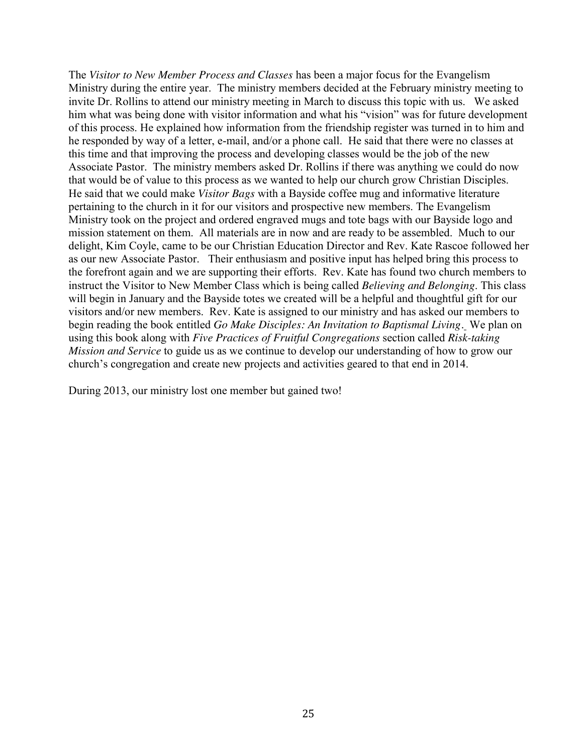The *Visitor to New Member Process and Classes* has been a major focus for the Evangelism Ministry during the entire year. The ministry members decided at the February ministry meeting to invite Dr. Rollins to attend our ministry meeting in March to discuss this topic with us. We asked him what was being done with visitor information and what his "vision" was for future development of this process. He explained how information from the friendship register was turned in to him and he responded by way of a letter, e-mail, and/or a phone call. He said that there were no classes at this time and that improving the process and developing classes would be the job of the new Associate Pastor. The ministry members asked Dr. Rollins if there was anything we could do now that would be of value to this process as we wanted to help our church grow Christian Disciples. He said that we could make *Visitor Bags* with a Bayside coffee mug and informative literature pertaining to the church in it for our visitors and prospective new members. The Evangelism Ministry took on the project and ordered engraved mugs and tote bags with our Bayside logo and mission statement on them. All materials are in now and are ready to be assembled. Much to our delight, Kim Coyle, came to be our Christian Education Director and Rev. Kate Rascoe followed her as our new Associate Pastor. Their enthusiasm and positive input has helped bring this process to the forefront again and we are supporting their efforts. Rev. Kate has found two church members to instruct the Visitor to New Member Class which is being called *Believing and Belonging*. This class will begin in January and the Bayside totes we created will be a helpful and thoughtful gift for our visitors and/or new members. Rev. Kate is assigned to our ministry and has asked our members to begin reading the book entitled *Go Make Disciples: An Invitation to Baptismal Living.* We plan on using this book along with *Five Practices of Fruitful Congregations* section called *Risk-taking Mission and Service* to guide us as we continue to develop our understanding of how to grow our church's congregation and create new projects and activities geared to that end in 2014.

During 2013, our ministry lost one member but gained two!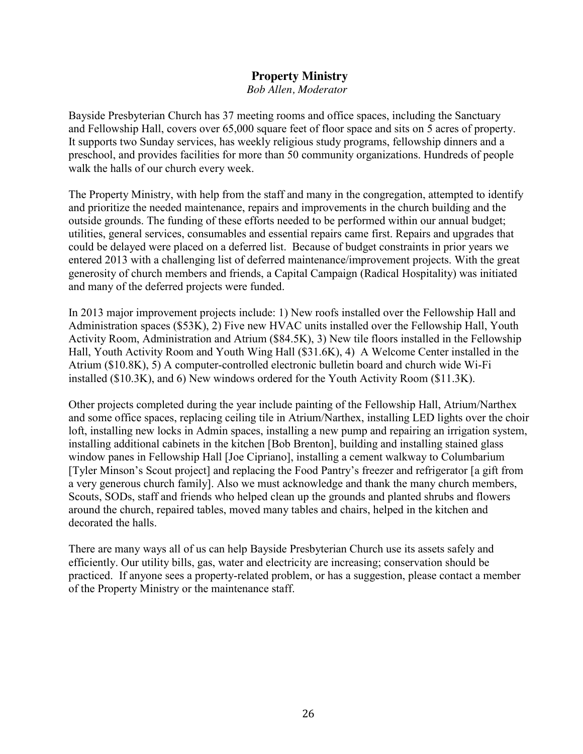#### **Property Ministry**  *Bob Allen, Moderator*

Bayside Presbyterian Church has 37 meeting rooms and office spaces, including the Sanctuary and Fellowship Hall, covers over 65,000 square feet of floor space and sits on 5 acres of property. It supports two Sunday services, has weekly religious study programs, fellowship dinners and a preschool, and provides facilities for more than 50 community organizations. Hundreds of people walk the halls of our church every week.

The Property Ministry, with help from the staff and many in the congregation, attempted to identify and prioritize the needed maintenance, repairs and improvements in the church building and the outside grounds. The funding of these efforts needed to be performed within our annual budget; utilities, general services, consumables and essential repairs came first. Repairs and upgrades that could be delayed were placed on a deferred list. Because of budget constraints in prior years we entered 2013 with a challenging list of deferred maintenance/improvement projects. With the great generosity of church members and friends, a Capital Campaign (Radical Hospitality) was initiated and many of the deferred projects were funded.

In 2013 major improvement projects include: 1) New roofs installed over the Fellowship Hall and Administration spaces (\$53K), 2) Five new HVAC units installed over the Fellowship Hall, Youth Activity Room, Administration and Atrium (\$84.5K), 3) New tile floors installed in the Fellowship Hall, Youth Activity Room and Youth Wing Hall (\$31.6K), 4) A Welcome Center installed in the Atrium (\$10.8K), 5) A computer-controlled electronic bulletin board and church wide Wi-Fi installed (\$10.3K), and 6) New windows ordered for the Youth Activity Room (\$11.3K).

Other projects completed during the year include painting of the Fellowship Hall, Atrium/Narthex and some office spaces, replacing ceiling tile in Atrium/Narthex, installing LED lights over the choir loft, installing new locks in Admin spaces, installing a new pump and repairing an irrigation system, installing additional cabinets in the kitchen [Bob Brenton], building and installing stained glass window panes in Fellowship Hall [Joe Cipriano], installing a cement walkway to Columbarium [Tyler Minson's Scout project] and replacing the Food Pantry's freezer and refrigerator [a gift from a very generous church family]. Also we must acknowledge and thank the many church members, Scouts, SODs, staff and friends who helped clean up the grounds and planted shrubs and flowers around the church, repaired tables, moved many tables and chairs, helped in the kitchen and decorated the halls.

There are many ways all of us can help Bayside Presbyterian Church use its assets safely and efficiently. Our utility bills, gas, water and electricity are increasing; conservation should be practiced. If anyone sees a property-related problem, or has a suggestion, please contact a member of the Property Ministry or the maintenance staff.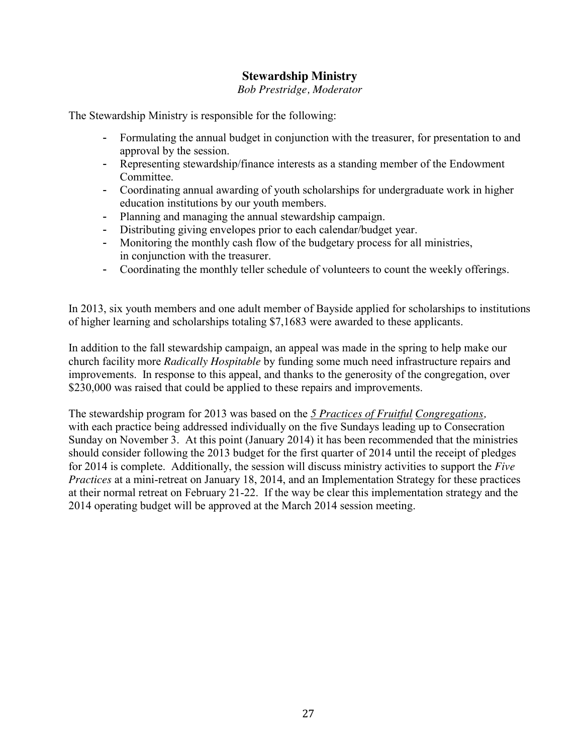## **Stewardship Ministry**

*Bob Prestridge, Moderator*

The Stewardship Ministry is responsible for the following:

- Formulating the annual budget in conjunction with the treasurer, for presentation to and approval by the session.
- Representing stewardship/finance interests as a standing member of the Endowment Committee.
- Coordinating annual awarding of youth scholarships for undergraduate work in higher education institutions by our youth members.
- Planning and managing the annual stewardship campaign.
- Distributing giving envelopes prior to each calendar/budget year.
- Monitoring the monthly cash flow of the budgetary process for all ministries, in conjunction with the treasurer.
- Coordinating the monthly teller schedule of volunteers to count the weekly offerings.

In 2013, six youth members and one adult member of Bayside applied for scholarships to institutions of higher learning and scholarships totaling \$7,1683 were awarded to these applicants.

In addition to the fall stewardship campaign, an appeal was made in the spring to help make our church facility more *Radically Hospitable* by funding some much need infrastructure repairs and improvements. In response to this appeal, and thanks to the generosity of the congregation, over \$230,000 was raised that could be applied to these repairs and improvements.

The stewardship program for 2013 was based on the *5 Practices of Fruitful Congregations,* with each practice being addressed individually on the five Sundays leading up to Consecration Sunday on November 3. At this point (January 2014) it has been recommended that the ministries should consider following the 2013 budget for the first quarter of 2014 until the receipt of pledges for 2014 is complete. Additionally, the session will discuss ministry activities to support the *Five Practices* at a mini-retreat on January 18, 2014, and an Implementation Strategy for these practices at their normal retreat on February 21-22. If the way be clear this implementation strategy and the 2014 operating budget will be approved at the March 2014 session meeting.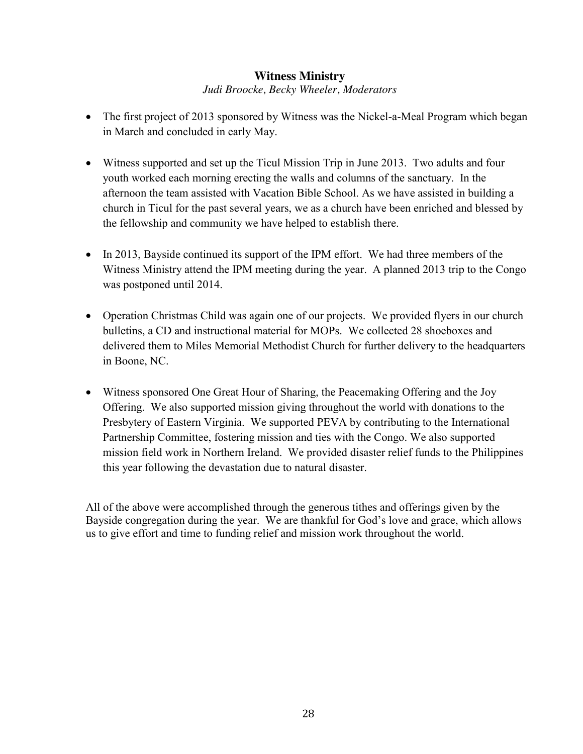# **Witness Ministry**

### *Judi Broocke, Becky Wheeler, Moderators*

- The first project of 2013 sponsored by Witness was the Nickel-a-Meal Program which began in March and concluded in early May.
- Witness supported and set up the Ticul Mission Trip in June 2013. Two adults and four youth worked each morning erecting the walls and columns of the sanctuary. In the afternoon the team assisted with Vacation Bible School. As we have assisted in building a church in Ticul for the past several years, we as a church have been enriched and blessed by the fellowship and community we have helped to establish there.
- $\bullet$  In 2013, Bayside continued its support of the IPM effort. We had three members of the Witness Ministry attend the IPM meeting during the year. A planned 2013 trip to the Congo was postponed until 2014.
- Operation Christmas Child was again one of our projects. We provided flyers in our church bulletins, a CD and instructional material for MOPs. We collected 28 shoeboxes and delivered them to Miles Memorial Methodist Church for further delivery to the headquarters in Boone, NC.
- Witness sponsored One Great Hour of Sharing, the Peacemaking Offering and the Joy Offering. We also supported mission giving throughout the world with donations to the Presbytery of Eastern Virginia. We supported PEVA by contributing to the International Partnership Committee, fostering mission and ties with the Congo. We also supported mission field work in Northern Ireland. We provided disaster relief funds to the Philippines this year following the devastation due to natural disaster.

All of the above were accomplished through the generous tithes and offerings given by the Bayside congregation during the year. We are thankful for God's love and grace, which allows us to give effort and time to funding relief and mission work throughout the world.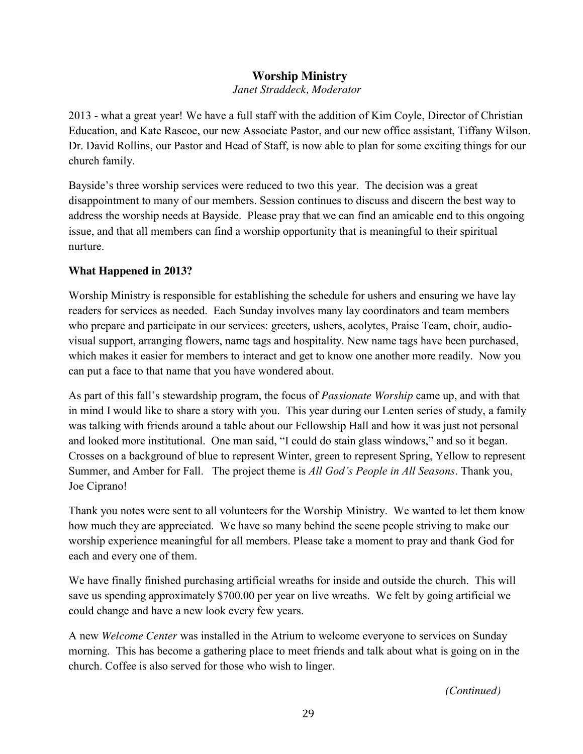# **Worship Ministry**

 *Janet Straddeck, Moderator*

2013 - what a great year! We have a full staff with the addition of Kim Coyle, Director of Christian Education, and Kate Rascoe, our new Associate Pastor, and our new office assistant, Tiffany Wilson. Dr. David Rollins, our Pastor and Head of Staff, is now able to plan for some exciting things for our church family.

Bayside's three worship services were reduced to two this year. The decision was a great disappointment to many of our members. Session continues to discuss and discern the best way to address the worship needs at Bayside. Please pray that we can find an amicable end to this ongoing issue, and that all members can find a worship opportunity that is meaningful to their spiritual nurture.

### **What Happened in 2013?**

Worship Ministry is responsible for establishing the schedule for ushers and ensuring we have lay readers for services as needed. Each Sunday involves many lay coordinators and team members who prepare and participate in our services: greeters, ushers, acolytes, Praise Team, choir, audiovisual support, arranging flowers, name tags and hospitality. New name tags have been purchased, which makes it easier for members to interact and get to know one another more readily. Now you can put a face to that name that you have wondered about.

As part of this fall's stewardship program, the focus of *Passionate Worship* came up, and with that in mind I would like to share a story with you. This year during our Lenten series of study, a family was talking with friends around a table about our Fellowship Hall and how it was just not personal and looked more institutional. One man said, "I could do stain glass windows," and so it began. Crosses on a background of blue to represent Winter, green to represent Spring, Yellow to represent Summer, and Amber for Fall. The project theme is *All God's People in All Seasons*. Thank you, Joe Ciprano!

Thank you notes were sent to all volunteers for the Worship Ministry. We wanted to let them know how much they are appreciated. We have so many behind the scene people striving to make our worship experience meaningful for all members. Please take a moment to pray and thank God for each and every one of them.

We have finally finished purchasing artificial wreaths for inside and outside the church. This will save us spending approximately \$700.00 per year on live wreaths. We felt by going artificial we could change and have a new look every few years.

A new *Welcome Center* was installed in the Atrium to welcome everyone to services on Sunday morning. This has become a gathering place to meet friends and talk about what is going on in the church. Coffee is also served for those who wish to linger.

*(Continued)*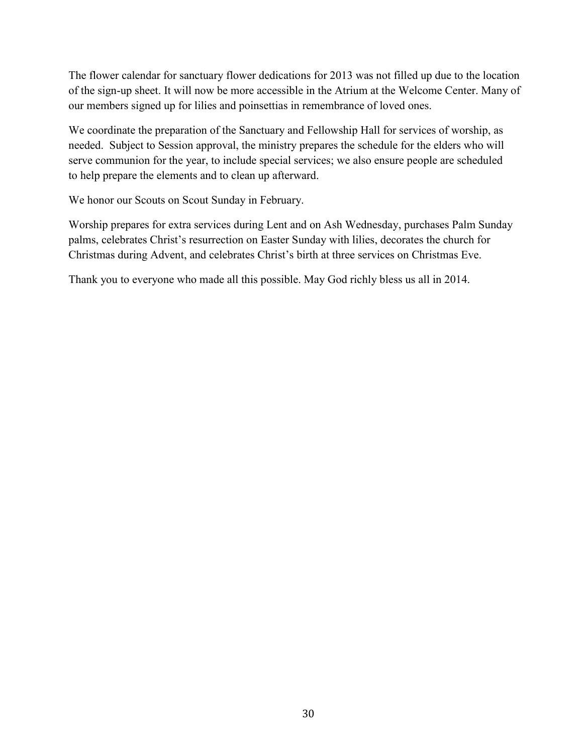The flower calendar for sanctuary flower dedications for 2013 was not filled up due to the location of the sign-up sheet. It will now be more accessible in the Atrium at the Welcome Center. Many of our members signed up for lilies and poinsettias in remembrance of loved ones.

We coordinate the preparation of the Sanctuary and Fellowship Hall for services of worship, as needed. Subject to Session approval, the ministry prepares the schedule for the elders who will serve communion for the year, to include special services; we also ensure people are scheduled to help prepare the elements and to clean up afterward.

We honor our Scouts on Scout Sunday in February.

Worship prepares for extra services during Lent and on Ash Wednesday, purchases Palm Sunday palms, celebrates Christ's resurrection on Easter Sunday with lilies, decorates the church for Christmas during Advent, and celebrates Christ's birth at three services on Christmas Eve.

Thank you to everyone who made all this possible. May God richly bless us all in 2014.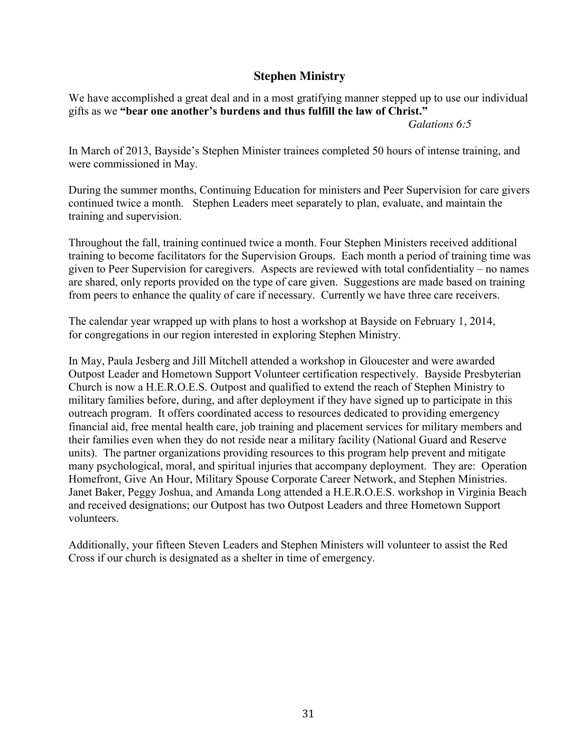## **Stephen Ministry**

We have accomplished a great deal and in a most gratifying manner stepped up to use our individual gifts as we **"bear one another's burdens and thus fulfill the law of Christ."** 

*Galations 6:5*

In March of 2013, Bayside's Stephen Minister trainees completed 50 hours of intense training, and were commissioned in May.

During the summer months, Continuing Education for ministers and Peer Supervision for care givers continued twice a month. Stephen Leaders meet separately to plan, evaluate, and maintain the training and supervision.

Throughout the fall, training continued twice a month. Four Stephen Ministers received additional training to become facilitators for the Supervision Groups. Each month a period of training time was given to Peer Supervision for caregivers. Aspects are reviewed with total confidentiality – no names are shared, only reports provided on the type of care given. Suggestions are made based on training from peers to enhance the quality of care if necessary. Currently we have three care receivers.

The calendar year wrapped up with plans to host a workshop at Bayside on February 1, 2014, for congregations in our region interested in exploring Stephen Ministry.

In May, Paula Jesberg and Jill Mitchell attended a workshop in Gloucester and were awarded Outpost Leader and Hometown Support Volunteer certification respectively. Bayside Presbyterian Church is now a H.E.R.O.E.S. Outpost and qualified to extend the reach of Stephen Ministry to military families before, during, and after deployment if they have signed up to participate in this outreach program. It offers coordinated access to resources dedicated to providing emergency financial aid, free mental health care, job training and placement services for military members and their families even when they do not reside near a military facility (National Guard and Reserve units). The partner organizations providing resources to this program help prevent and mitigate many psychological, moral, and spiritual injuries that accompany deployment. They are: Operation Homefront, Give An Hour, Military Spouse Corporate Career Network, and Stephen Ministries. Janet Baker, Peggy Joshua, and Amanda Long attended a H.E.R.O.E.S. workshop in Virginia Beach and received designations; our Outpost has two Outpost Leaders and three Hometown Support volunteers.

Additionally, your fifteen Steven Leaders and Stephen Ministers will volunteer to assist the Red Cross if our church is designated as a shelter in time of emergency.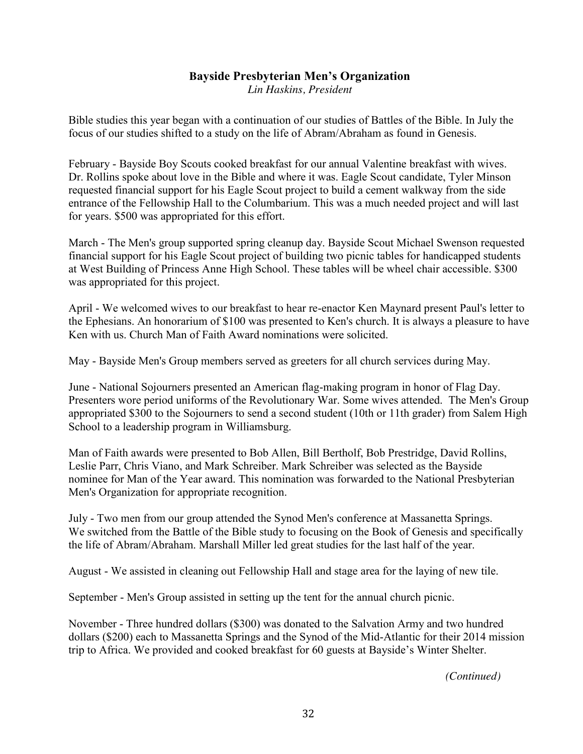# **Bayside Presbyterian Men's Organization**

*Lin Haskins, President*

Bible studies this year began with a continuation of our studies of Battles of the Bible. In July the focus of our studies shifted to a study on the life of Abram/Abraham as found in Genesis.

February - Bayside Boy Scouts cooked breakfast for our annual Valentine breakfast with wives. Dr. Rollins spoke about love in the Bible and where it was. Eagle Scout candidate, Tyler Minson requested financial support for his Eagle Scout project to build a cement walkway from the side entrance of the Fellowship Hall to the Columbarium. This was a much needed project and will last for years. \$500 was appropriated for this effort.

March - The Men's group supported spring cleanup day. Bayside Scout Michael Swenson requested financial support for his Eagle Scout project of building two picnic tables for handicapped students at West Building of Princess Anne High School. These tables will be wheel chair accessible. \$300 was appropriated for this project.

April - We welcomed wives to our breakfast to hear re-enactor Ken Maynard present Paul's letter to the Ephesians. An honorarium of \$100 was presented to Ken's church. It is always a pleasure to have Ken with us. Church Man of Faith Award nominations were solicited.

May - Bayside Men's Group members served as greeters for all church services during May.

June - National Sojourners presented an American flag-making program in honor of Flag Day. Presenters wore period uniforms of the Revolutionary War. Some wives attended. The Men's Group appropriated \$300 to the Sojourners to send a second student (10th or 11th grader) from Salem High School to a leadership program in Williamsburg.

Man of Faith awards were presented to Bob Allen, Bill Bertholf, Bob Prestridge, David Rollins, Leslie Parr, Chris Viano, and Mark Schreiber. Mark Schreiber was selected as the Bayside nominee for Man of the Year award. This nomination was forwarded to the National Presbyterian Men's Organization for appropriate recognition.

July - Two men from our group attended the Synod Men's conference at Massanetta Springs. We switched from the Battle of the Bible study to focusing on the Book of Genesis and specifically the life of Abram/Abraham. Marshall Miller led great studies for the last half of the year.

August - We assisted in cleaning out Fellowship Hall and stage area for the laying of new tile.

September - Men's Group assisted in setting up the tent for the annual church picnic.

November - Three hundred dollars (\$300) was donated to the Salvation Army and two hundred dollars (\$200) each to Massanetta Springs and the Synod of the Mid-Atlantic for their 2014 mission trip to Africa. We provided and cooked breakfast for 60 guests at Bayside's Winter Shelter.

*(Continued)*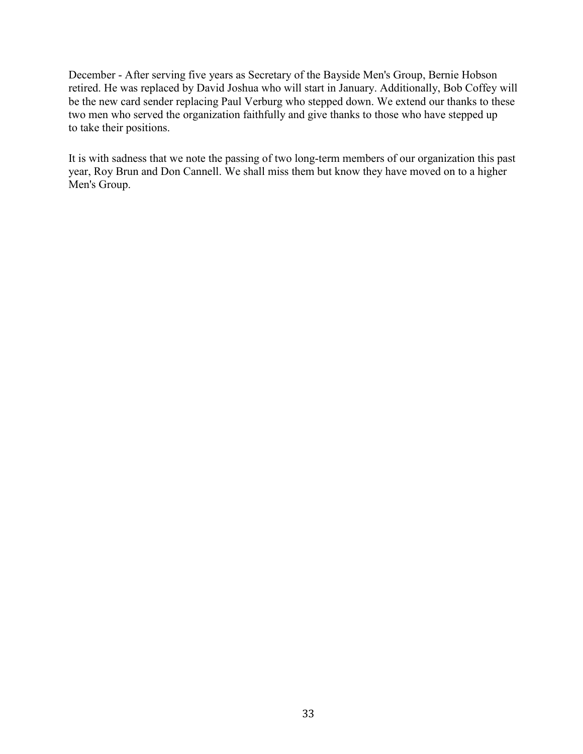December - After serving five years as Secretary of the Bayside Men's Group, Bernie Hobson retired. He was replaced by David Joshua who will start in January. Additionally, Bob Coffey will be the new card sender replacing Paul Verburg who stepped down. We extend our thanks to these two men who served the organization faithfully and give thanks to those who have stepped up to take their positions.

It is with sadness that we note the passing of two long-term members of our organization this past year, Roy Brun and Don Cannell. We shall miss them but know they have moved on to a higher Men's Group.